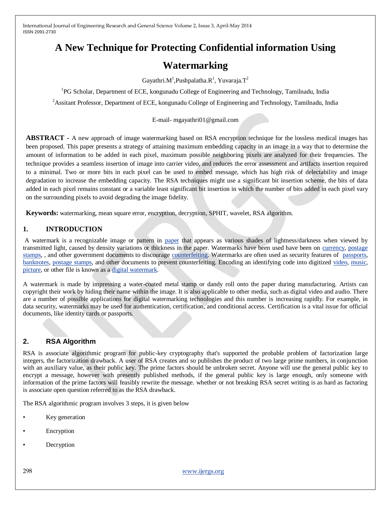# **A New Technique for Protecting Confidential information Using**

# **Watermarking**

Gayathri. $M^1$ , Pushpalatha. $R^1$ , Yuvaraja. $T^2$ 

<sup>1</sup>PG Scholar, Department of ECE, kongunadu College of Engineering and Technology, Tamilnadu, India

<sup>2</sup> Assitant Professor, Department of ECE, kongunadu College of Engineering and Technology, Tamilnadu, India

#### E-mail- mgayathri01@gmail.com

**ABSTRACT -** A new approach of image watermarking based on RSA encryption technique for the lossless medical images has been proposed. This paper presents a strategy of attaining maximum embedding capacity in an image in a way that to determine the amount of information to be added in each pixel, maximum possible neighboring pixels are analyzed for their frequencies. The technique provides a seamless insertion of image into carrier video, and reduces the error assessment and artifacts insertion required to a minimal. Two or more bits in each pixel can be used to embed message, which has high risk of delectability and image degradation to increase the embedding capacity. The RSA techniques might use a significant bit insertion scheme, the bits of data added in each pixel remains constant or a variable least significant bit insertion in which the number of bits added in each pixel vary on the surrounding pixels to avoid degrading the image fidelity.

**Keywords:** watermarking, mean square error, encryption, decryption, SPHIT, wavelet, RSA algorithm.

#### **1. INTRODUCTION**

A watermark is a recognizable image or pattern in [paper](http://en.wikipedia.org/wiki/Paper) that appears as various shades of lightness/darkness when viewed by transmitted light, caused by density variations or thickness in the paper. Watermarks have been used have been on [currency,](http://en.wikipedia.org/wiki/Currency) [postage](http://en.wikipedia.org/wiki/Postage_stamp)  [stamps,](http://en.wikipedia.org/wiki/Postage_stamp) , and other government documents to discourage [counterfeiting.](http://en.wikipedia.org/wiki/Counterfeit) Watermarks are often used as security features of [passports,](http://en.wikipedia.org/wiki/Passport) [banknotes,](http://en.wikipedia.org/wiki/Banknote) [postage stamps,](http://en.wikipedia.org/wiki/Postage_stamp) and other documents to prevent counterfeiting. Encoding an identifying code into digitized [video,](http://en.wikipedia.org/wiki/Video) [music,](http://en.wikipedia.org/wiki/Music) [picture,](http://en.wikipedia.org/wiki/Picture) or other file is known as a [digital watermark.](http://en.wikipedia.org/wiki/Digital_watermark)

A watermark is made by impressing a water-coated metal stamp or dandy roll onto the paper during manufacturing. Artists can copyright their work by hiding their name within the image. It is also applicable to other media, such as digital video and audio. There are a number of possible applications for digital watermarking technologies and this number is increasing rapidly. For example, in data security, watermarks may be used for authentication, certification, and conditional access. Certification is a vital issue for official documents, like identity cards or passports.

# **2. RSA Algorithm**

RSA is associate algorithmic program for public-key cryptography that's supported the probable problem of factorization large integers, the factorization drawback. A user of RSA creates and so publishes the product of two large prime numbers, in conjunction with an auxiliary value, as their public key. The prime factors should be unbroken secret. Anyone will use the general public key to encrypt a message, however with presently published methods, if the general public key is large enough, only someone with information of the prime factors will feasibly rewrite the message. whether or not breaking RSA secret writing is as hard as factoring is associate open question referred to as the RSA drawback.

The RSA algorithmic program involves 3 steps, it is given below

- Key generation
- **Encryption**
- **Decryption**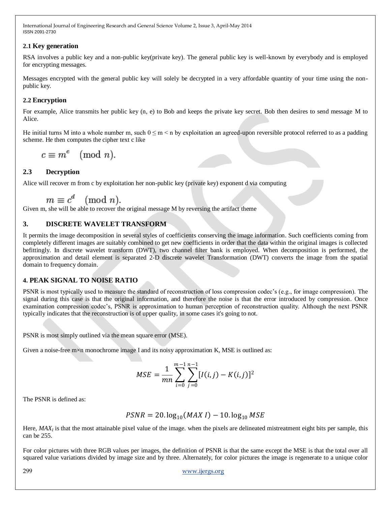#### **2.1 Key generation**

RSA involves a public key and a non-public key(private key). The general public key is well-known by everybody and is employed for encrypting messages.

Messages encrypted with the general public key will solely be decrypted in a very affordable quantity of your time using the nonpublic key.

### **2.2 Encryption**

For example, Alice transmits her public key (n, e) to Bob and keeps the private key secret. Bob then desires to send message M to Alice.

He initial turns M into a whole number m, such  $0 \le m \le n$  by exploitation an agreed-upon reversible protocol referred to as a padding scheme. He then computes the cipher text c like

 $c \equiv m^e \pmod{n}$ .

# **2.3 Decryption**

Alice will recover m from c by exploitation her non-public key (private key) exponent d via computing

$$
m \equiv c^d \pmod{n}.
$$

Given m, she will be able to recover the original message M by reversing the artifact theme

#### **3. DISCRETE WAVELET TRANSFORM**

It permits the image decomposition in several styles of coefficients conserving the image information. Such coefficients coming from completely different images are suitably combined to get new coefficients in order that the data within the original images is collected befittingly. In discrete wavelet transform (DWT), two channel filter bank is employed. When decomposition is performed, the approximation and detail element is separated 2-D discrete wavelet Transformation (DWT) converts the image from the spatial domain to frequency domain.

#### **4. PEAK SIGNAL TO NOISE RATIO**

PSNR is most typically used to measure the standard of reconstruction of loss compression codec's (e.g., for image compression). The signal during this case is that the original information, and therefore the noise is that the error introduced by compression. Once examination compression codec"s, PSNR is approximation to human perception of reconstruction quality. Although the next PSNR typically indicates that the reconstruction is of upper quality, in some cases it's going to not.

PSNR is most simply outlined via the mean square error (MSE).

Given a noise-free  $m \times n$  monochrome image I and its noisy approximation K, MSE is outlined as:

$$
MSE = \frac{1}{mn} \sum_{i=0}^{m-1} \sum_{j=0}^{n-1} [I(i,j) - K(i,j)]^2
$$

The PSNR is defined as:

$$
PSNR = 20. \log_{10}(MAX I) - 10. \log_{10} MSE
$$

Here, MAX<sub>I</sub> is that the most attainable pixel value of the image. when the pixels are delineated mistreatment eight bits per sample, this can be 255.

For color pictures with three RGB values per images, the definition of PSNR is that the same except the MSE is that the total over all squared value variations divided by image size and by three. Alternately, for color pictures the image is regenerate to a unique color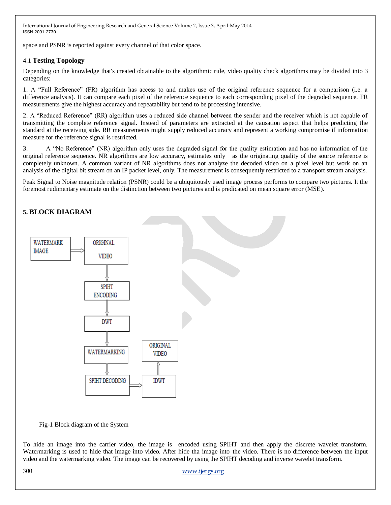space and PSNR is reported against every channel of that color space.

#### 4.1 **Testing Topology**

Depending on the knowledge that's created obtainable to the algorithmic rule, video quality check algorithms may be divided into 3 categories:

1. A "Full Reference" (FR) algorithm has access to and makes use of the original reference sequence for a comparison (i.e. a difference analysis). It can compare each pixel of the reference sequence to each corresponding pixel of the degraded sequence. FR measurements give the highest accuracy and repeatability but tend to be processing intensive.

2. A "Reduced Reference" (RR) algorithm uses a reduced side channel between the sender and the receiver which is not capable of transmitting the complete reference signal. Instead of parameters are extracted at the causation aspect that helps predicting the standard at the receiving side. RR measurements might supply reduced accuracy and represent a working compromise if information measure for the reference signal is restricted.

3. A "No Reference" (NR) algorithm only uses the degraded signal for the quality estimation and has no information of the original reference sequence. NR algorithms are low accuracy, estimates only as the originating quality of the source reference is completely unknown. A common variant of NR algorithms does not analyze the decoded video on a pixel level but work on an analysis of the digital bit stream on an IP packet level, only. The measurement is consequently restricted to a transport stream analysis.

Peak Signal to Noise magnitude relation (PSNR) could be a ubiquitously used image process performs to compare two pictures. It the foremost rudimentary estimate on the distinction between two pictures and is predicated on mean square error (MSE).

# **5. BLOCK DIAGRAM**



Fig-1 Block diagram of the System

To hide an image into the carrier video, the image is encoded using SPIHT and then apply the discrete wavelet transform. Watermarking is used to hide that image into video. After hide tha image into the video. There is no difference between the input video and the watermarking video. The image can be recovered by using the SPIHT decoding and inverse wavelet transform.